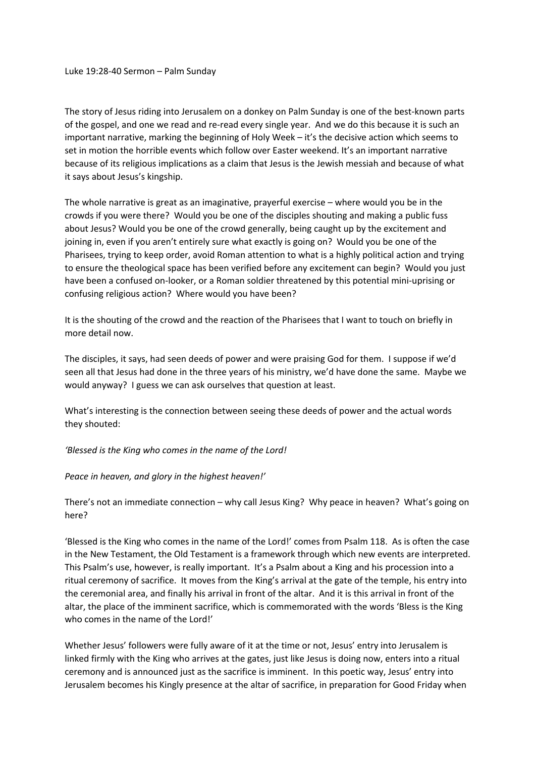The story of Jesus riding into Jerusalem on a donkey on Palm Sunday is one of the best-known parts of the gospel, and one we read and re-read every single year. And we do this because it is such an important narrative, marking the beginning of Holy Week – it's the decisive action which seems to set in motion the horrible events which follow over Easter weekend. It's an important narrative because of its religious implications as a claim that Jesus is the Jewish messiah and because of what it says about Jesus's kingship.

The whole narrative is great as an imaginative, prayerful exercise – where would you be in the crowds if you were there? Would you be one of the disciples shouting and making a public fuss about Jesus? Would you be one of the crowd generally, being caught up by the excitement and joining in, even if you aren't entirely sure what exactly is going on? Would you be one of the Pharisees, trying to keep order, avoid Roman attention to what is a highly political action and trying to ensure the theological space has been verified before any excitement can begin? Would you just have been a confused on-looker, or a Roman soldier threatened by this potential mini-uprising or confusing religious action? Where would you have been?

It is the shouting of the crowd and the reaction of the Pharisees that I want to touch on briefly in more detail now.

The disciples, it says, had seen deeds of power and were praising God for them. I suppose if we'd seen all that Jesus had done in the three years of his ministry, we'd have done the same. Maybe we would anyway? I guess we can ask ourselves that question at least.

What's interesting is the connection between seeing these deeds of power and the actual words they shouted:

*'Blessed is the King who comes in the name of the Lord!* 

## *Peace in heaven, and glory in the highest heaven!'*

There's not an immediate connection – why call Jesus King? Why peace in heaven? What's going on here?

'Blessed is the King who comes in the name of the Lord!' comes from Psalm 118. As is often the case in the New Testament, the Old Testament is a framework through which new events are interpreted. This Psalm's use, however, is really important. It's a Psalm about a King and his procession into a ritual ceremony of sacrifice. It moves from the King's arrival at the gate of the temple, his entry into the ceremonial area, and finally his arrival in front of the altar. And it is this arrival in front of the altar, the place of the imminent sacrifice, which is commemorated with the words 'Bless is the King who comes in the name of the Lord!'

Whether Jesus' followers were fully aware of it at the time or not, Jesus' entry into Jerusalem is linked firmly with the King who arrives at the gates, just like Jesus is doing now, enters into a ritual ceremony and is announced just as the sacrifice is imminent. In this poetic way, Jesus' entry into Jerusalem becomes his Kingly presence at the altar of sacrifice, in preparation for Good Friday when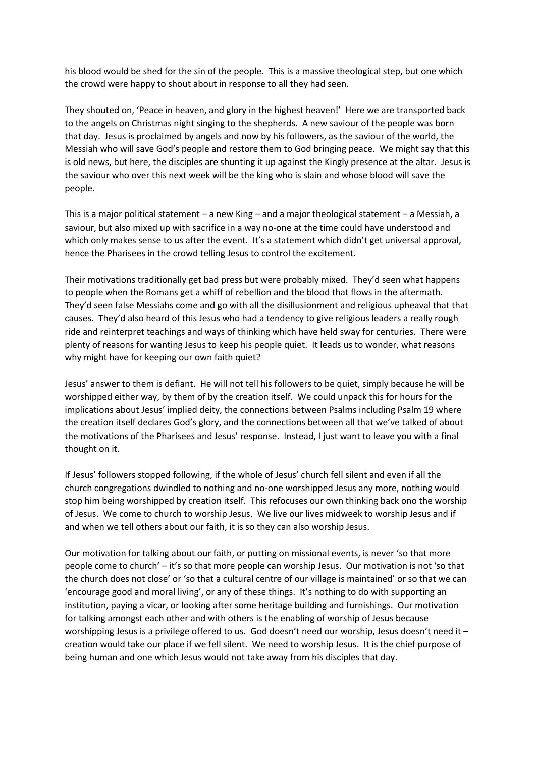his blood would be shed for the sin of the people. This is a massive theological step, but one which the crowd were happy to shout about in response to all they had seen.

They shouted on, 'Peace in heaven, and glory in the highest heaven!' Here we are transported back to the angels on Christmas night singing to the shepherds. A new saviour of the people was born that day. Jesus is proclaimed by angels and now by his followers, as the saviour of the world, the Messiah who will save God's people and restore them to God bringing peace. We might say that this is old news, but here, the disciples are shunting it up against the Kingly presence at the altar. Jesus is the saviour who over this next week will be the king who is slain and whose blood will save the people.

This is a major political statement – a new King – and a major theological statement – a Messiah, a saviour, but also mixed up with sacrifice in a way no-one at the time could have understood and which only makes sense to us after the event. It's a statement which didn't get universal approval, hence the Pharisees in the crowd telling Jesus to control the excitement.

Their motivations traditionally get bad press but were probably mixed. They'd seen what happens to people when the Romans get a whiff of rebellion and the blood that flows in the aftermath. They'd seen false Messiahs come and go with all the disillusionment and religious upheaval that that causes. They'd also heard of this Jesus who had a tendency to give religious leaders a really rough ride and reinterpret teachings and ways of thinking which have held sway for centuries. There were plenty of reasons for wanting Jesus to keep his people quiet. It leads us to wonder, what reasons why might have for keeping our own faith quiet?

Jesus' answer to them is defiant. He will not tell his followers to be quiet, simply because he will be worshipped either way, by them of by the creation itself. We could unpack this for hours for the implications about Jesus' implied deity, the connections between Psalms including Psalm 19 where the creation itself declares God's glory, and the connections between all that we've talked of about the motivations of the Pharisees and Jesus' response. Instead, I just want to leave you with a final thought on it.

If Jesus' followers stopped following, if the whole of Jesus' church fell silent and even if all the church congregations dwindled to nothing and no-one worshipped Jesus any more, nothing would stop him being worshipped by creation itself. This refocuses our own thinking back ono the worship of Jesus. We come to church to worship Jesus. We live our lives midweek to worship Jesus and if and when we tell others about our faith, it is so they can also worship Jesus.

Our motivation for talking about our faith, or putting on missional events, is never 'so that more people come to church' – it's so that more people can worship Jesus. Our motivation is not 'so that the church does not close' or 'so that a cultural centre of our village is maintained' or so that we can 'encourage good and moral living', or any of these things. It's nothing to do with supporting an institution, paying a vicar, or looking after some heritage building and furnishings. Our motivation for talking amongst each other and with others is the enabling of worship of Jesus because worshipping Jesus is a privilege offered to us. God doesn't need our worship, Jesus doesn't need it – creation would take our place if we fell silent. We need to worship Jesus. It is the chief purpose of being human and one which Jesus would not take away from his disciples that day.